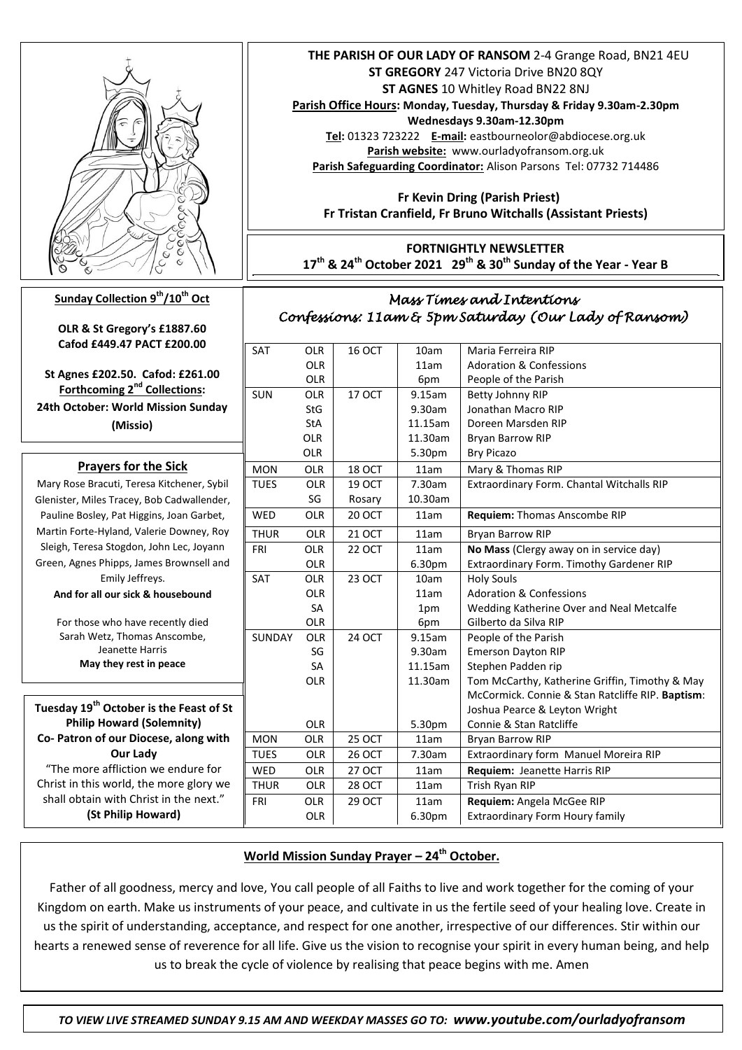

## **Sunday Collection 9th/10th Oct**

**OLR & St Gregory's £1887.60 Cafod £449.47 PACT £200.00**

**St Agnes £202.50. Cafod: £261.00 Forthcoming 2nd Collections: 24th October: World Mission Sunday (Missio)**

### **Prayers for the Sick**

 Pauline Bosley, Pat Higgins, Joan Garbet, Mary Rose Bracuti, Teresa Kitchener, Sybil Glenister, Miles Tracey, Bob Cadwallender, Martin Forte-Hyland, Valerie Downey, Roy Sleigh, Teresa Stogdon, John Lec, Joyann Green, Agnes Phipps, James Brownsell and Emily Jeffreys. **And for all our sick & housebound** For those who have recently died Sarah Wetz, Thomas Anscombe, Jeanette Harris **May they rest in peace**

**Tuesday 19th October is the Feast of St Philip Howard (Solemnity) Co- Patron of our Diocese, along with Our Lady**

"The more affliction we endure for Christ in this world, the more glory we shall obtain with Christ in the next." **(St Philip Howard)**

 **THE PARISH OF OUR LADY OF RANSOM** 2-4 Grange Road, BN21 4EU **ST GREGORY** 247 Victoria Drive BN20 8QY **ST AGNES** 10 Whitley Road BN22 8NJ **Parish Office Hours: Monday, Tuesday, Thursday & Friday 9.30am-2.30pm Wednesdays 9.30am-12.30pm Tel:** 01323 723222 **E-mail:** eastbourneolor@abdiocese.org.uk **Parish website:** [www.ourladyofransom.org.uk](http://www.ourladyofransom.org.uk/) **Parish Safeguarding Coordinator:** Alison Parsons Tel: 07732 714486

 **Fr Kevin Dring (Parish Priest) Fr Tristan Cranfield, Fr Bruno Witchalls (Assistant Priests)**

**FORTNIGHTLY NEWSLETTER 17th & 24th October 2021 29th & 30th Sunday of the Year - Year B**

# *Mass Times and Intentions Confessions: 11am & 5pm Saturday (Our Lady of Ransom)*

| SAT           | <b>OLR</b> | <b>16 OCT</b> | 10am    | Maria Ferreira RIP                               |  |
|---------------|------------|---------------|---------|--------------------------------------------------|--|
|               | <b>OLR</b> |               | 11am    | <b>Adoration &amp; Confessions</b>               |  |
|               | <b>OLR</b> |               | 6pm     | People of the Parish                             |  |
| <b>SUN</b>    | <b>OLR</b> | <b>17 OCT</b> | 9.15am  | Betty Johnny RIP                                 |  |
|               | <b>StG</b> |               | 9.30am  | Jonathan Macro RIP                               |  |
|               | <b>StA</b> |               | 11.15am | Doreen Marsden RIP                               |  |
|               | <b>OLR</b> |               | 11.30am | Bryan Barrow RIP                                 |  |
|               | <b>OLR</b> |               | 5.30pm  | <b>Bry Picazo</b>                                |  |
| <b>MON</b>    | <b>OLR</b> | <b>18 OCT</b> | 11am    | Mary & Thomas RIP                                |  |
| <b>TUES</b>   | <b>OLR</b> | <b>19 OCT</b> | 7.30am  | Extraordinary Form. Chantal Witchalls RIP        |  |
|               | SG         | Rosary        | 10.30am |                                                  |  |
| <b>WED</b>    | <b>OLR</b> | <b>20 OCT</b> | 11am    | Requiem: Thomas Anscombe RIP                     |  |
| <b>THUR</b>   | <b>OLR</b> | <b>21 OCT</b> | 11am    | <b>Bryan Barrow RIP</b>                          |  |
| FRI           | <b>OLR</b> | <b>22 OCT</b> | 11am    | No Mass (Clergy away on in service day)          |  |
|               | <b>OLR</b> |               | 6.30pm  | Extraordinary Form. Timothy Gardener RIP         |  |
| <b>SAT</b>    | <b>OLR</b> | <b>23 OCT</b> | 10am    | <b>Holy Souls</b>                                |  |
|               | <b>OLR</b> |               | 11am    | <b>Adoration &amp; Confessions</b>               |  |
|               | <b>SA</b>  |               | 1pm     | Wedding Katherine Over and Neal Metcalfe         |  |
|               | <b>OLR</b> |               | 6pm     | Gilberto da Silva RIP                            |  |
| <b>SUNDAY</b> | <b>OLR</b> | <b>24 OCT</b> | 9.15am  | People of the Parish                             |  |
|               | SG         |               | 9.30am  | <b>Emerson Dayton RIP</b>                        |  |
|               | <b>SA</b>  |               | 11.15am | Stephen Padden rip                               |  |
|               | <b>OLR</b> |               | 11.30am | Tom McCarthy, Katherine Griffin, Timothy & May   |  |
|               |            |               |         | McCormick. Connie & Stan Ratcliffe RIP. Baptism: |  |
|               |            |               |         | Joshua Pearce & Leyton Wright                    |  |
|               | <b>OLR</b> |               | 5.30pm  | Connie & Stan Ratcliffe                          |  |
| <b>MON</b>    | <b>OLR</b> | <b>25 OCT</b> | 11am    | Bryan Barrow RIP                                 |  |
| <b>TUES</b>   | <b>OLR</b> | 26 OCT        | 7.30am  | Extraordinary form Manuel Moreira RIP            |  |
| <b>WED</b>    | <b>OLR</b> | 27 OCT        | 11am    | Requiem: Jeanette Harris RIP                     |  |
| <b>THUR</b>   | OLR        | <b>28 OCT</b> | 11am    | Trish Ryan RIP                                   |  |
| <b>FRI</b>    | <b>OLR</b> | <b>29 OCT</b> | 11am    | Requiem: Angela McGee RIP                        |  |
|               | OLR        |               | 6.30pm  | <b>Extraordinary Form Houry family</b>           |  |
|               |            |               |         |                                                  |  |

## *CONFESSIONS 11am & 5pm Saturday (Our Lady of Ransom)* **World Mission Sunday Prayer – 24th October.**

as the spirit of understanding, acceptance, and respect for one another, in espective or our unrefences. Stir within our absorber of our spirit in every human being, and help us the spirit of understanding, acceptance, and respect for one another, irrespective of our differences. Stir within our Father of all goodness, mercy and love, You call people of all Faiths to live and work together for the coming of your Kingdom on earth. Make us instruments of your peace, and cultivate in us the fertile seed of your healing love. Create in us to break the cycle of violence by realising that peace begins with me. Amen

 *TO VIEW LIVE STREAMED SUNDAY 9.15 AM AND WEEKDAY MASSES GO TO: www.youtube.com/ourladyofransom*